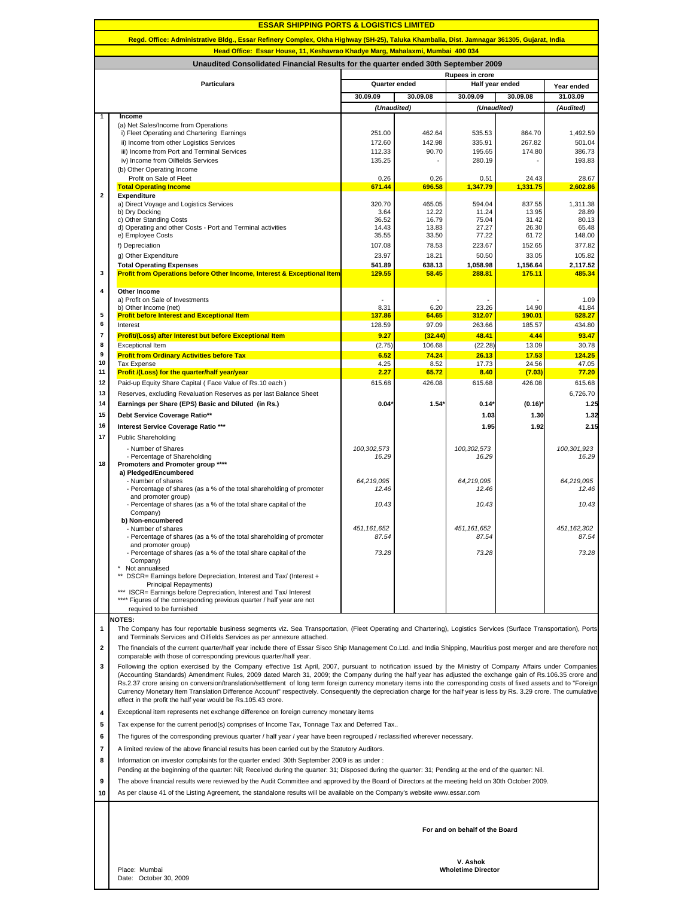| <b>ESSAR SHIPPING PORTS &amp; LOGISTICS LIMITED</b>                                                                                       |                                                                                                                                                                                                                                                                                                                                   |                                         |                  |                           |                   |                      |  |  |  |  |  |
|-------------------------------------------------------------------------------------------------------------------------------------------|-----------------------------------------------------------------------------------------------------------------------------------------------------------------------------------------------------------------------------------------------------------------------------------------------------------------------------------|-----------------------------------------|------------------|---------------------------|-------------------|----------------------|--|--|--|--|--|
| Regd. Office: Administrative Bldg., Essar Refinery Complex, Okha Highway (SH-25), Taluka Khambalia, Dist. Jamnagar 361305, Gujarat, India |                                                                                                                                                                                                                                                                                                                                   |                                         |                  |                           |                   |                      |  |  |  |  |  |
| Head Office: Essar House, 11, Keshavrao Khadye Marg, Mahalaxmi, Mumbai 400 034                                                            |                                                                                                                                                                                                                                                                                                                                   |                                         |                  |                           |                   |                      |  |  |  |  |  |
| Unaudited Consolidated Financial Results for the quarter ended 30th September 2009                                                        |                                                                                                                                                                                                                                                                                                                                   |                                         |                  |                           |                   |                      |  |  |  |  |  |
|                                                                                                                                           | <b>Particulars</b>                                                                                                                                                                                                                                                                                                                | <b>Rupees in crore</b><br>Quarter ended |                  |                           | Half year ended   |                      |  |  |  |  |  |
|                                                                                                                                           |                                                                                                                                                                                                                                                                                                                                   |                                         |                  |                           |                   | Year ended           |  |  |  |  |  |
|                                                                                                                                           |                                                                                                                                                                                                                                                                                                                                   | 30.09.09                                | 30.09.08         | 30.09.09                  | 30.09.08          | 31.03.09             |  |  |  |  |  |
| 1                                                                                                                                         | Income                                                                                                                                                                                                                                                                                                                            | (Unaudited)                             |                  | (Unaudited)               |                   | (Audited)            |  |  |  |  |  |
|                                                                                                                                           | (a) Net Sales/Income from Operations                                                                                                                                                                                                                                                                                              |                                         |                  |                           |                   |                      |  |  |  |  |  |
|                                                                                                                                           | i) Fleet Operating and Chartering Earnings<br>ii) Income from other Logistics Services                                                                                                                                                                                                                                            | 251.00<br>172.60                        | 462.64<br>142.98 | 535.53<br>335.91          | 864.70<br>267.82  | 1,492.59<br>501.04   |  |  |  |  |  |
|                                                                                                                                           | iii) Income from Port and Terminal Services                                                                                                                                                                                                                                                                                       | 112.33                                  | 90.70            | 195.65                    | 174.80            | 386.73               |  |  |  |  |  |
|                                                                                                                                           | iv) Income from Oilfields Services                                                                                                                                                                                                                                                                                                | 135.25                                  |                  | 280.19                    |                   | 193.83               |  |  |  |  |  |
|                                                                                                                                           | (b) Other Operating Income                                                                                                                                                                                                                                                                                                        |                                         |                  |                           |                   |                      |  |  |  |  |  |
|                                                                                                                                           | Profit on Sale of Fleet<br><b>Total Operating Income</b>                                                                                                                                                                                                                                                                          | 0.26<br>671.44                          | 0.26<br>696.58   | 0.51<br>1,347.79          | 24.43<br>1,331.75 | 28.67<br>2,602.86    |  |  |  |  |  |
| $\mathbf{2}$                                                                                                                              | Expenditure                                                                                                                                                                                                                                                                                                                       |                                         |                  |                           |                   |                      |  |  |  |  |  |
|                                                                                                                                           | a) Direct Voyage and Logistics Services<br>b) Dry Docking                                                                                                                                                                                                                                                                         | 320.70<br>3.64                          | 465.05<br>12.22  | 594.04<br>11.24           | 837.55<br>13.95   | 1,311.38<br>28.89    |  |  |  |  |  |
|                                                                                                                                           | c) Other Standing Costs                                                                                                                                                                                                                                                                                                           | 36.52                                   | 16.79            | 75.04                     | 31.42             | 80.13                |  |  |  |  |  |
|                                                                                                                                           | d) Operating and other Costs - Port and Terminal activities<br>e) Employee Costs                                                                                                                                                                                                                                                  | 14.43<br>35.55                          | 13.83<br>33.50   | 27.27<br>77.22            | 26.30<br>61.72    | 65.48<br>148.00      |  |  |  |  |  |
|                                                                                                                                           | f) Depreciation                                                                                                                                                                                                                                                                                                                   | 107.08                                  | 78.53            | 223.67                    | 152.65            | 377.82               |  |  |  |  |  |
|                                                                                                                                           | g) Other Expenditure                                                                                                                                                                                                                                                                                                              | 23.97                                   | 18.21            | 50.50                     | 33.05             | 105.82               |  |  |  |  |  |
|                                                                                                                                           | <b>Total Operating Expenses</b>                                                                                                                                                                                                                                                                                                   | 541.89                                  | 638.13           | 1,058.98                  | 1,156.64          | 2,117.52             |  |  |  |  |  |
| 3                                                                                                                                         | <b>Profit from Operations before Other Income, Interest &amp; Exceptional Item</b>                                                                                                                                                                                                                                                | 129.55                                  | 58.45            | 288.81                    | 175.11            | 485.34               |  |  |  |  |  |
| 4                                                                                                                                         | <b>Other Income</b>                                                                                                                                                                                                                                                                                                               |                                         |                  |                           |                   |                      |  |  |  |  |  |
|                                                                                                                                           | a) Profit on Sale of Investments                                                                                                                                                                                                                                                                                                  |                                         |                  |                           |                   | 1.09                 |  |  |  |  |  |
| 5                                                                                                                                         | b) Other Income (net)<br><b>Profit before Interest and Exceptional Item</b>                                                                                                                                                                                                                                                       | 8.31<br>137.86                          | 6.20<br>64.65    | 23.26<br>312.07           | 14.90<br>190.01   | 41.84<br>528.27      |  |  |  |  |  |
| 6                                                                                                                                         | Interest                                                                                                                                                                                                                                                                                                                          | 128.59                                  | 97.09            | 263.66                    | 185.57            | 434.80               |  |  |  |  |  |
| 7                                                                                                                                         | <b>Profit/(Loss) after Interest but before Exceptional Item</b>                                                                                                                                                                                                                                                                   | 9.27                                    | (32.44)          | 48.41                     | 4.44              | 93.47                |  |  |  |  |  |
| 8                                                                                                                                         | <b>Exceptional Item</b>                                                                                                                                                                                                                                                                                                           | (2.75)                                  | 106.68           | (22.28)                   | 13.09             | 30.78                |  |  |  |  |  |
| 9<br>10                                                                                                                                   | <b>Profit from Ordinary Activities before Tax</b><br><b>Tax Expense</b>                                                                                                                                                                                                                                                           | 6.52<br>4.25                            | 74.24<br>8.52    | 26.13<br>17.73            | 17.53<br>24.56    | 124.25<br>47.05      |  |  |  |  |  |
| 11                                                                                                                                        | <b>Profit /(Loss) for the quarter/half year/year</b>                                                                                                                                                                                                                                                                              | 2.27                                    | 65.72            | 8.40                      | (7.03)            | 77.20                |  |  |  |  |  |
| 12                                                                                                                                        | Paid-up Equity Share Capital (Face Value of Rs.10 each)                                                                                                                                                                                                                                                                           | 615.68                                  | 426.08           | 615.68                    | 426.08            | 615.68               |  |  |  |  |  |
| 13                                                                                                                                        | Reserves, excluding Revaluation Reserves as per last Balance Sheet                                                                                                                                                                                                                                                                |                                         |                  |                           |                   | 6,726.70             |  |  |  |  |  |
| 14                                                                                                                                        | Earnings per Share (EPS) Basic and Diluted (in Rs.)                                                                                                                                                                                                                                                                               | 0.04'                                   | $1.54^{\circ}$   | $0.14*$                   | (0.16)            | 1.25                 |  |  |  |  |  |
| 15                                                                                                                                        | Debt Service Coverage Ratio**                                                                                                                                                                                                                                                                                                     |                                         |                  | 1.03                      | 1.30              | 1.32                 |  |  |  |  |  |
| 16                                                                                                                                        | Interest Service Coverage Ratio ***                                                                                                                                                                                                                                                                                               |                                         |                  | 1.95                      | 1.92              | 2.15                 |  |  |  |  |  |
| 17                                                                                                                                        | <b>Public Shareholding</b>                                                                                                                                                                                                                                                                                                        |                                         |                  |                           |                   |                      |  |  |  |  |  |
|                                                                                                                                           | - Number of Shares<br>- Percentage of Shareholding                                                                                                                                                                                                                                                                                | 100,302,573<br>16.29                    |                  | 100,302,573<br>16.29      |                   | 100,301,923<br>16.29 |  |  |  |  |  |
| 18                                                                                                                                        | Promoters and Promoter group ****                                                                                                                                                                                                                                                                                                 |                                         |                  |                           |                   |                      |  |  |  |  |  |
|                                                                                                                                           | a) Pledged/Encumbered<br>- Number of shares                                                                                                                                                                                                                                                                                       | 64,219,095                              |                  | 64.219.095                |                   | 64,219,095           |  |  |  |  |  |
|                                                                                                                                           | - Percentage of shares (as a % of the total shareholding of promoter                                                                                                                                                                                                                                                              | 12.46                                   |                  | 12.46                     |                   | 12.46                |  |  |  |  |  |
|                                                                                                                                           | and promoter group)<br>- Percentage of shares (as a % of the total share capital of the                                                                                                                                                                                                                                           | 10.43                                   |                  | 10.43                     |                   | 10.43                |  |  |  |  |  |
|                                                                                                                                           | Company)                                                                                                                                                                                                                                                                                                                          |                                         |                  |                           |                   |                      |  |  |  |  |  |
|                                                                                                                                           | b) Non-encumbered<br>- Number of shares                                                                                                                                                                                                                                                                                           | 451,161,652                             |                  | 451, 161, 652             |                   | 451, 162, 302        |  |  |  |  |  |
|                                                                                                                                           | - Percentage of shares (as a % of the total shareholding of promoter                                                                                                                                                                                                                                                              | 87.54                                   |                  | 87.54                     |                   | 87.54                |  |  |  |  |  |
|                                                                                                                                           | and promoter group)<br>- Percentage of shares (as a % of the total share capital of the                                                                                                                                                                                                                                           | 73.28                                   |                  | 73.28                     |                   | 73.28                |  |  |  |  |  |
|                                                                                                                                           | Company)                                                                                                                                                                                                                                                                                                                          |                                         |                  |                           |                   |                      |  |  |  |  |  |
|                                                                                                                                           | * Not annualised<br>DSCR= Earnings before Depreciation, Interest and Tax/ (Interest +                                                                                                                                                                                                                                             |                                         |                  |                           |                   |                      |  |  |  |  |  |
|                                                                                                                                           | Principal Repayments)                                                                                                                                                                                                                                                                                                             |                                         |                  |                           |                   |                      |  |  |  |  |  |
|                                                                                                                                           | *** ISCR= Earnings before Depreciation, Interest and Tax/ Interest<br>**** Figures of the corresponding previous quarter / half year are not                                                                                                                                                                                      |                                         |                  |                           |                   |                      |  |  |  |  |  |
|                                                                                                                                           | required to be furnished                                                                                                                                                                                                                                                                                                          |                                         |                  |                           |                   |                      |  |  |  |  |  |
|                                                                                                                                           | <b>NOTES:</b>                                                                                                                                                                                                                                                                                                                     |                                         |                  |                           |                   |                      |  |  |  |  |  |
| 1                                                                                                                                         | The Company has four reportable business segments viz. Sea Transportation, (Fleet Operating and Chartering), Logistics Services (Surface Transportation), Ports<br>and Terminals Services and Oilfields Services as per annexure attached.                                                                                        |                                         |                  |                           |                   |                      |  |  |  |  |  |
| $\mathbf{2}$                                                                                                                              | The financials of the current quarter/half year include there of Essar Sisco Ship Management Co.Ltd. and India Shipping, Mauritius post merger and are therefore not                                                                                                                                                              |                                         |                  |                           |                   |                      |  |  |  |  |  |
|                                                                                                                                           | comparable with those of corresponding previous quarter/half year.                                                                                                                                                                                                                                                                |                                         |                  |                           |                   |                      |  |  |  |  |  |
| 3                                                                                                                                         | Following the option exercised by the Company effective 1st April, 2007, pursuant to notification issued by the Ministry of Company Affairs under Companies                                                                                                                                                                       |                                         |                  |                           |                   |                      |  |  |  |  |  |
|                                                                                                                                           | (Accounting Standards) Amendment Rules, 2009 dated March 31, 2009; the Company during the half year has adjusted the exchange gain of Rs.106.35 crore and<br>Rs.2.37 crore arising on conversion/translation/settlement of long term foreign currency monetary items into the corresponding costs of fixed assets and to "Foreign |                                         |                  |                           |                   |                      |  |  |  |  |  |
|                                                                                                                                           | Currency Monetary Item Translation Difference Account" respectively. Consequently the depreciation charge for the half year is less by Rs. 3.29 crore. The cumulative                                                                                                                                                             |                                         |                  |                           |                   |                      |  |  |  |  |  |
|                                                                                                                                           | effect in the profit the half year would be Rs.105.43 crore.                                                                                                                                                                                                                                                                      |                                         |                  |                           |                   |                      |  |  |  |  |  |
| 4                                                                                                                                         | Exceptional item represents net exchange difference on foreign currency monetary items                                                                                                                                                                                                                                            |                                         |                  |                           |                   |                      |  |  |  |  |  |
| 5                                                                                                                                         | Tax expense for the current period(s) comprises of Income Tax, Tonnage Tax and Deferred Tax                                                                                                                                                                                                                                       |                                         |                  |                           |                   |                      |  |  |  |  |  |
| 6                                                                                                                                         | The figures of the corresponding previous quarter / half year / year have been regrouped / reclassified wherever necessary.                                                                                                                                                                                                       |                                         |                  |                           |                   |                      |  |  |  |  |  |
| $\overline{7}$                                                                                                                            | A limited review of the above financial results has been carried out by the Statutory Auditors.                                                                                                                                                                                                                                   |                                         |                  |                           |                   |                      |  |  |  |  |  |
| 8                                                                                                                                         | Information on investor complaints for the quarter ended 30th September 2009 is as under:                                                                                                                                                                                                                                         |                                         |                  |                           |                   |                      |  |  |  |  |  |
|                                                                                                                                           | Pending at the beginning of the quarter: Nil; Received during the quarter: 31; Disposed during the quarter: 31; Pending at the end of the quarter: Nil.<br>The above financial results were reviewed by the Audit Committee and approved by the Board of Directors at the meeting held on 30th October 2009.                      |                                         |                  |                           |                   |                      |  |  |  |  |  |
| 9                                                                                                                                         | As per clause 41 of the Listing Agreement, the standalone results will be available on the Company's website www.essar.com                                                                                                                                                                                                        |                                         |                  |                           |                   |                      |  |  |  |  |  |
| 10                                                                                                                                        |                                                                                                                                                                                                                                                                                                                                   |                                         |                  |                           |                   |                      |  |  |  |  |  |
|                                                                                                                                           |                                                                                                                                                                                                                                                                                                                                   |                                         |                  |                           |                   |                      |  |  |  |  |  |
|                                                                                                                                           | For and on behalf of the Board                                                                                                                                                                                                                                                                                                    |                                         |                  |                           |                   |                      |  |  |  |  |  |
|                                                                                                                                           |                                                                                                                                                                                                                                                                                                                                   |                                         |                  |                           |                   |                      |  |  |  |  |  |
|                                                                                                                                           |                                                                                                                                                                                                                                                                                                                                   |                                         |                  |                           |                   |                      |  |  |  |  |  |
|                                                                                                                                           |                                                                                                                                                                                                                                                                                                                                   |                                         |                  | V. Ashok                  |                   |                      |  |  |  |  |  |
|                                                                                                                                           | Place: Mumbai<br>Date: October 30, 2009                                                                                                                                                                                                                                                                                           |                                         |                  | <b>Wholetime Director</b> |                   |                      |  |  |  |  |  |

 $\overline{\phantom{a}}$